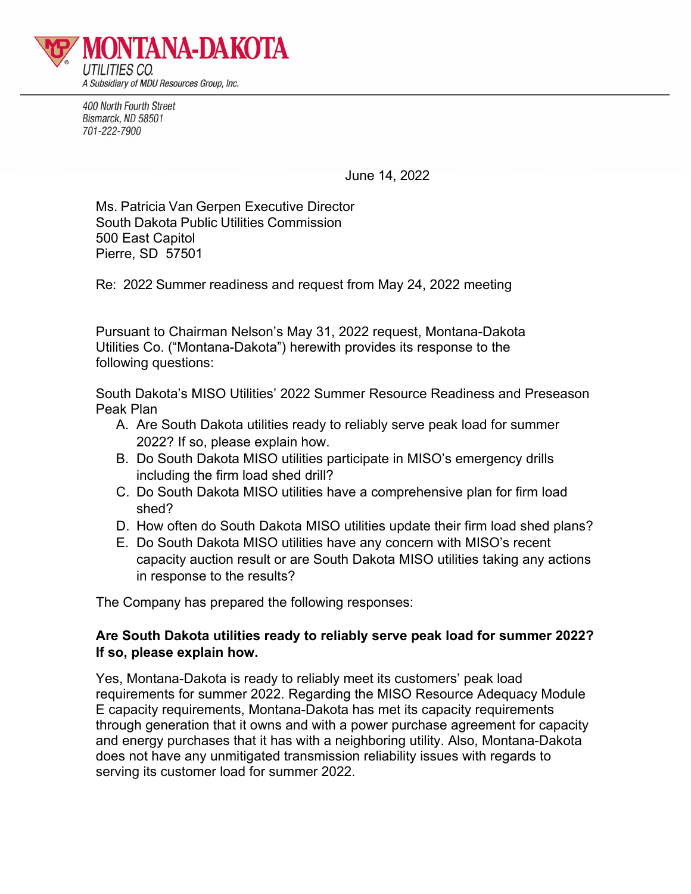

400 North Fourth Street Bismarck, ND 58501 701-222-7900

June 14, 2022

Ms. Patricia Van Gerpen Executive Director South Dakota Public Utilities Commission 500 East Capitol Pierre, SD 57501

Re: 2022 Summer readiness and request from May 24, 2022 meeting

Pursuant to Chairman Nelson's May 31, 2022 request, Montana-Dakota Utilities Co. ("Montana-Dakota") herewith provides its response to the following questions:

South Dakota's MISO Utilities' 2022 Summer Resource Readiness and Preseason Peak Plan

- A. Are South Dakota utilities ready to reliably serve peak load for summer 2022? If so, please explain how.
- B. Do South Dakota MISO utilities participate in MISO's emergency drills including the firm load shed drill?
- C. Do South Dakota MISO utilities have a comprehensive plan for firm load shed?
- D. How often do South Dakota MISO utilities update their firm load shed plans?
- E. Do South Dakota MISO utilities have any concern with MISO's recent capacity auction result or are South Dakota MISO utilities taking any actions in response to the results?

The Company has prepared the following responses:

# **Are South Dakota utilities ready to reliably serve peak load for summer 2022? If so, please explain how.**

Yes, Montana-Dakota is ready to reliably meet its customers' peak load requirements for summer 2022. Regarding the MISO Resource Adequacy Module E capacity requirements, Montana-Dakota has met its capacity requirements through generation that it owns and with a power purchase agreement for capacity and energy purchases that it has with a neighboring utility. Also, Montana-Dakota does not have any unmitigated transmission reliability issues with regards to serving its customer load for summer 2022.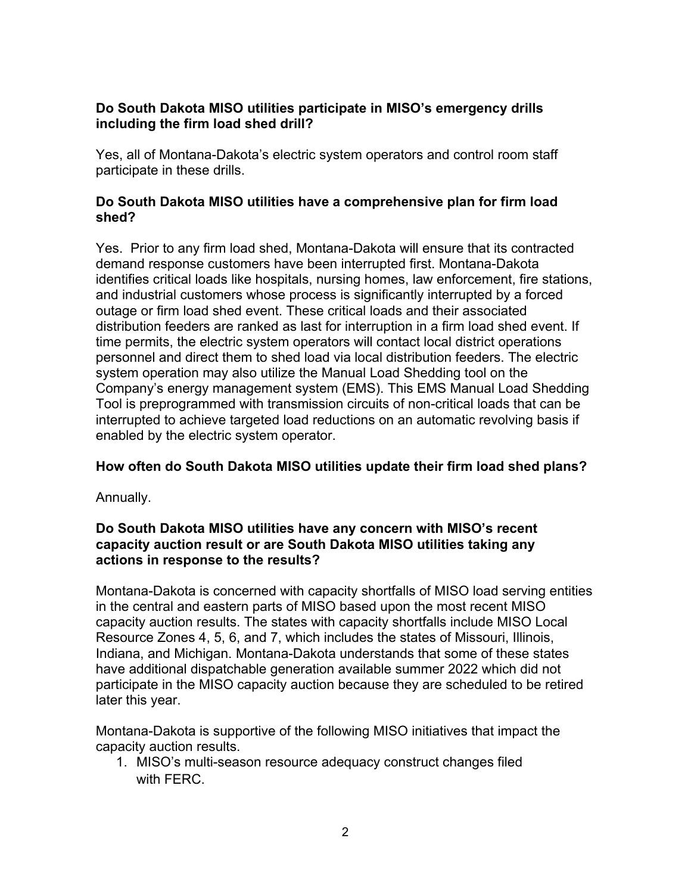# **Do South Dakota MISO utilities participate in MISO's emergency drills including the firm load shed drill?**

Yes, all of Montana-Dakota's electric system operators and control room staff participate in these drills.

### **Do South Dakota MISO utilities have a comprehensive plan for firm load shed?**

Yes. Prior to any firm load shed, Montana-Dakota will ensure that its contracted demand response customers have been interrupted first. Montana-Dakota identifies critical loads like hospitals, nursing homes, law enforcement, fire stations, and industrial customers whose process is significantly interrupted by a forced outage or firm load shed event. These critical loads and their associated distribution feeders are ranked as last for interruption in a firm load shed event. If time permits, the electric system operators will contact local district operations personnel and direct them to shed load via local distribution feeders. The electric system operation may also utilize the Manual Load Shedding tool on the Company's energy management system (EMS). This EMS Manual Load Shedding Tool is preprogrammed with transmission circuits of non-critical loads that can be interrupted to achieve targeted load reductions on an automatic revolving basis if enabled by the electric system operator.

# **How often do South Dakota MISO utilities update their firm load shed plans?**

Annually.

#### **Do South Dakota MISO utilities have any concern with MISO's recent capacity auction result or are South Dakota MISO utilities taking any actions in response to the results?**

Montana-Dakota is concerned with capacity shortfalls of MISO load serving entities in the central and eastern parts of MISO based upon the most recent MISO capacity auction results. The states with capacity shortfalls include MISO Local Resource Zones 4, 5, 6, and 7, which includes the states of Missouri, Illinois, Indiana, and Michigan. Montana-Dakota understands that some of these states have additional dispatchable generation available summer 2022 which did not participate in the MISO capacity auction because they are scheduled to be retired later this year.

Montana-Dakota is supportive of the following MISO initiatives that impact the capacity auction results.

1. MISO's multi-season resource adequacy construct changes filed with FERC.